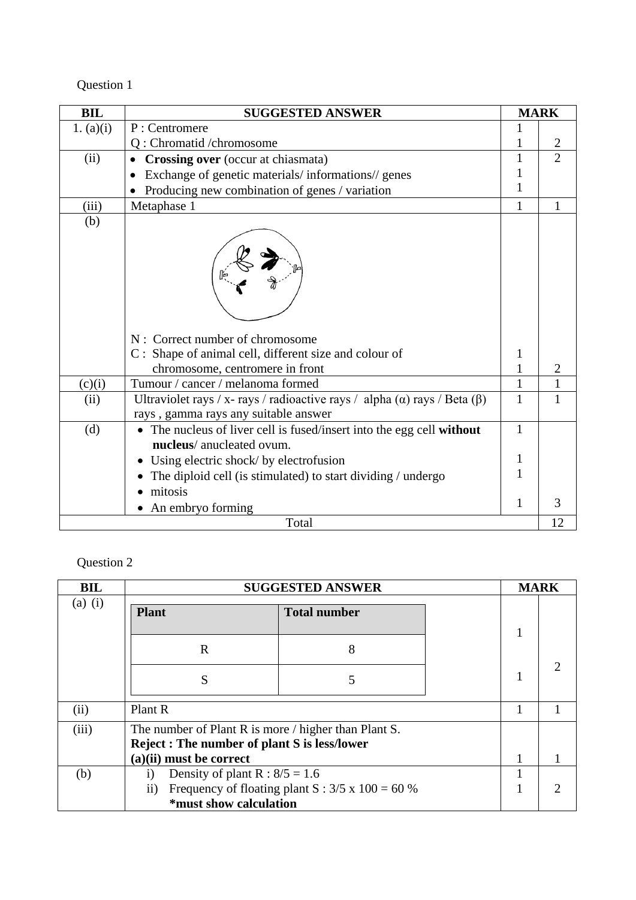| <b>BIL</b>  | <b>SUGGESTED ANSWER</b>                                                                                                            |              | <b>MARK</b>    |
|-------------|------------------------------------------------------------------------------------------------------------------------------------|--------------|----------------|
| 1. $(a)(i)$ | P: Centromere                                                                                                                      |              |                |
|             | Q : Chromatid / chromosome                                                                                                         |              |                |
| (ii)        | Crossing over (occur at chiasmata)                                                                                                 | 1            | $\overline{2}$ |
|             | Exchange of genetic materials/informations//genes                                                                                  |              |                |
|             | Producing new combination of genes / variation                                                                                     | 1            |                |
| (iii)       | Metaphase 1                                                                                                                        | 1            |                |
| (b)         | N: Correct number of chromosome<br>C : Shape of animal cell, different size and colour of<br>chromosome, centromere in front       | 1<br>1       |                |
| (c)(i)      | Tumour / cancer / melanoma formed                                                                                                  | $\mathbf{1}$ |                |
| (ii)        | Ultraviolet rays / x- rays / radioactive rays / alpha ( $\alpha$ ) rays / Beta ( $\beta$ )<br>rays, gamma rays any suitable answer | 1            | 1              |
| (d)         | The nucleus of liver cell is fused/insert into the egg cell without<br>nucleus/anucleated ovum.                                    | $\mathbf{1}$ |                |
|             | Using electric shock/ by electrofusion                                                                                             | 1            |                |
|             | The diploid cell (is stimulated) to start dividing / undergo                                                                       | 1            |                |
|             | mitosis<br>An embryo forming<br>Total                                                                                              | 1            | 3<br>12        |
|             |                                                                                                                                    |              |                |

| <b>BIL</b> |                                                                                                                                         | <b>SUGGESTED ANSWER</b>                                 | <b>MARK</b> |  |
|------------|-----------------------------------------------------------------------------------------------------------------------------------------|---------------------------------------------------------|-------------|--|
| $(a)$ (i)  | <b>Plant</b>                                                                                                                            | <b>Total number</b>                                     |             |  |
|            | R                                                                                                                                       | 8                                                       |             |  |
|            | S                                                                                                                                       |                                                         |             |  |
| (ii)       | Plant R                                                                                                                                 |                                                         |             |  |
| (iii)      | The number of Plant R is more / higher than Plant S.<br><b>Reject: The number of plant S is less/lower</b><br>$(a)(ii)$ must be correct |                                                         |             |  |
| (b)        | Density of plant R : $8/5 = 1.6$<br>$\mathbf{i}$<br>$\mathbf{ii}$<br>*must show calculation                                             | Frequency of floating plant S : $3/5 \times 100 = 60\%$ |             |  |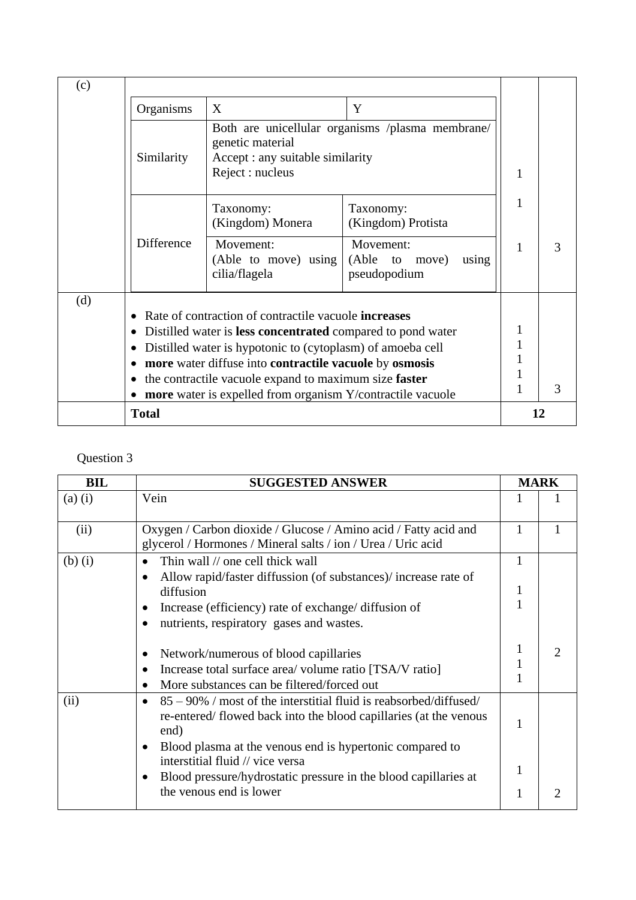| (c) |              |                                                                                                                                   |                                                         |    |   |
|-----|--------------|-----------------------------------------------------------------------------------------------------------------------------------|---------------------------------------------------------|----|---|
|     | Organisms    | X                                                                                                                                 | Y                                                       |    |   |
|     | Similarity   | genetic material<br>Accept : any suitable similarity<br>Reject : nucleus                                                          | Both are unicellular organisms /plasma membrane/        | 1  |   |
|     |              | Taxonomy:<br>(Kingdom) Monera                                                                                                     | Taxonomy:<br>(Kingdom) Protista                         | 1  |   |
|     | Difference   | Movement:<br>(Able to move) using<br>cilia/flagela                                                                                | Movement:<br>(Able to<br>using<br>move)<br>pseudopodium | 1  | 3 |
| (d) |              |                                                                                                                                   |                                                         |    |   |
|     |              | Rate of contraction of contractile vacuole <b>increases</b><br>Distilled water is <b>less concentrated</b> compared to pond water |                                                         |    |   |
|     |              | Distilled water is hypotonic to (cytoplasm) of amoeba cell                                                                        |                                                         |    |   |
|     |              | more water diffuse into contractile vacuole by osmosis                                                                            |                                                         |    |   |
|     |              | the contractile vacuole expand to maximum size faster                                                                             |                                                         |    |   |
|     |              | <b>more</b> water is expelled from organism Y/contractile vacuole                                                                 |                                                         |    | 3 |
|     | <b>Total</b> |                                                                                                                                   |                                                         | 12 |   |

| <b>BIL</b>  | <b>SUGGESTED ANSWER</b>                                                                                                                                                                                                                        |                        | <b>MARK</b> |
|-------------|------------------------------------------------------------------------------------------------------------------------------------------------------------------------------------------------------------------------------------------------|------------------------|-------------|
| $(a)$ $(i)$ | Vein                                                                                                                                                                                                                                           |                        |             |
| (ii)        | Oxygen / Carbon dioxide / Glucose / Amino acid / Fatty acid and<br>glycerol / Hormones / Mineral salts / ion / Urea / Uric acid                                                                                                                | 1                      |             |
| $(b)$ $(i)$ | Thin wall // one cell thick wall<br>Allow rapid/faster diffussion (of substances)/ increase rate of<br>$\bullet$<br>diffusion<br>Increase (efficiency) rate of exchange/ diffusion of<br>nutrients, respiratory gases and wastes.<br>$\bullet$ | 1<br>$\mathbf{1}$<br>1 |             |
|             | Network/numerous of blood capillaries<br>Increase total surface area/volume ratio [TSA/V ratio]<br>More substances can be filtered/forced out<br>$\bullet$                                                                                     | 1<br>1<br>1            | 2           |
| (ii)        | $85 - 90\%$ / most of the interstitial fluid is reabsorbed/diffused/<br>re-entered/flowed back into the blood capillaries (at the venous<br>end)<br>Blood plasma at the venous end is hypertonic compared to<br>$\bullet$                      | 1                      |             |
|             | interstitial fluid // vice versa<br>Blood pressure/hydrostatic pressure in the blood capillaries at<br>the venous end is lower                                                                                                                 | 1<br>1                 |             |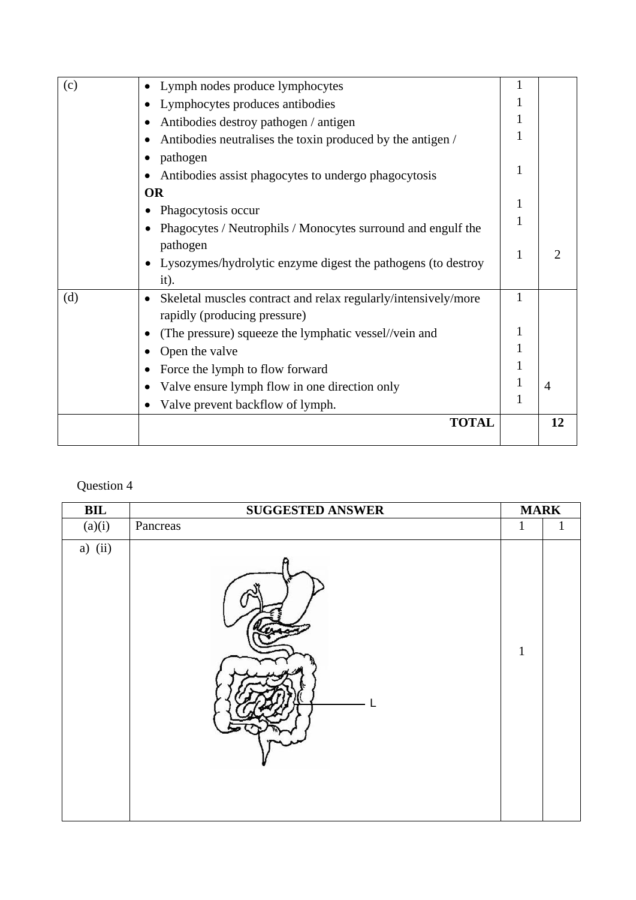| (c) | Lymph nodes produce lymphocytes                                |              |                |
|-----|----------------------------------------------------------------|--------------|----------------|
|     | Lymphocytes produces antibodies                                |              |                |
|     | Antibodies destroy pathogen / antigen                          | 1            |                |
|     | Antibodies neutralises the toxin produced by the antigen /     |              |                |
|     | pathogen                                                       |              |                |
|     | Antibodies assist phagocytes to undergo phagocytosis           | 1            |                |
|     | <b>OR</b>                                                      |              |                |
|     | Phagocytosis occur                                             | 1            |                |
|     | Phagocytes / Neutrophils / Monocytes surround and engulf the   | 1            |                |
|     | pathogen                                                       |              |                |
|     | Lysozymes/hydrolytic enzyme digest the pathogens (to destroy   | 1            |                |
|     | $it)$ .                                                        |              |                |
| (d) | Skeletal muscles contract and relax regularly/intensively/more | 1            |                |
|     | rapidly (producing pressure)                                   |              |                |
|     | (The pressure) squeeze the lymphatic vessel//vein and          |              |                |
|     | Open the valve                                                 | 1            |                |
|     | Force the lymph to flow forward                                |              |                |
|     | Valve ensure lymph flow in one direction only                  | 1            | $\overline{4}$ |
|     | Valve prevent backflow of lymph.                               | $\mathbf{1}$ |                |
|     | <b>TOTAL</b>                                                   |              | 12             |
|     |                                                                |              |                |

| $\mathbf{BIL}$ | <b>SUGGESTED ANSWER</b> | <b>MARK</b>  |              |
|----------------|-------------------------|--------------|--------------|
| (a)(i)         | Pancreas                | $\mathbf{1}$ | $\mathbf{1}$ |
| a) $(ii)$      |                         | $\mathbf{1}$ |              |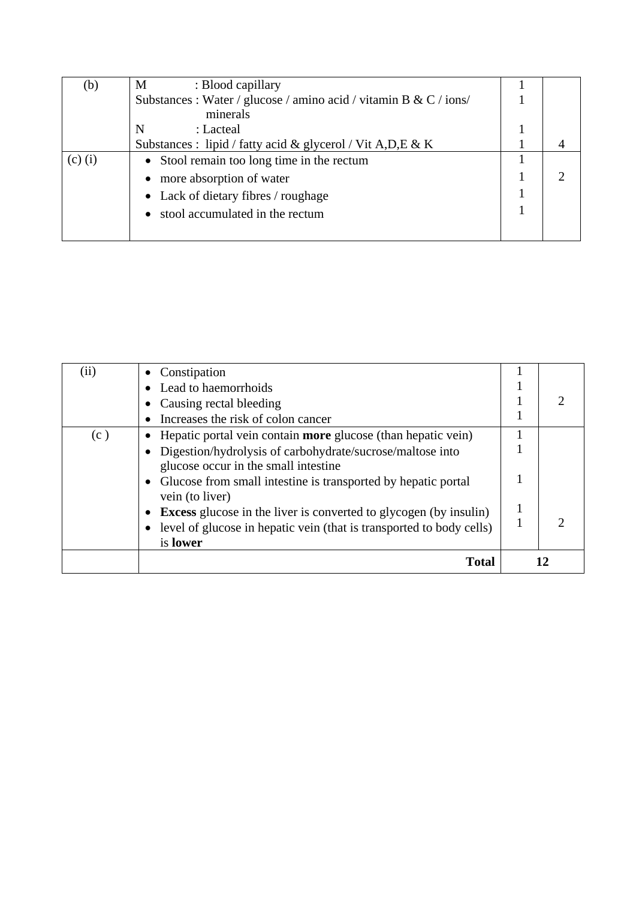| (b)       | M<br>: Blood capillary                                            |  |
|-----------|-------------------------------------------------------------------|--|
|           | Substances : Water / glucose / amino acid / vitamin B & C / ions/ |  |
|           | minerals                                                          |  |
|           | N<br>: Lacteal                                                    |  |
|           | Substances : lipid / fatty acid & glycerol / Vit A, D, E & K      |  |
| $(c)$ (i) | • Stool remain too long time in the rectum                        |  |
|           | more absorption of water                                          |  |
|           | • Lack of dietary fibres / roughage                               |  |
|           | stool accumulated in the rectum                                   |  |
|           |                                                                   |  |

| (ii) | Constipation                                                                                  |  |
|------|-----------------------------------------------------------------------------------------------|--|
|      | Lead to haemorrhoids                                                                          |  |
|      | Causing rectal bleeding                                                                       |  |
|      | Increases the risk of colon cancer                                                            |  |
| (c)  | Hepatic portal vein contain <b>more</b> glucose (than hepatic vein)                           |  |
|      | Digestion/hydrolysis of carbohydrate/sucrose/maltose into                                     |  |
|      | glucose occur in the small intestine                                                          |  |
|      | Glucose from small intestine is transported by hepatic portal<br>$\bullet$<br>vein (to liver) |  |
|      | <b>Excess</b> glucose in the liver is converted to glycogen (by insulin)<br>$\bullet$         |  |
|      | level of glucose in hepatic vein (that is transported to body cells)                          |  |
|      | is lower                                                                                      |  |
|      | Total                                                                                         |  |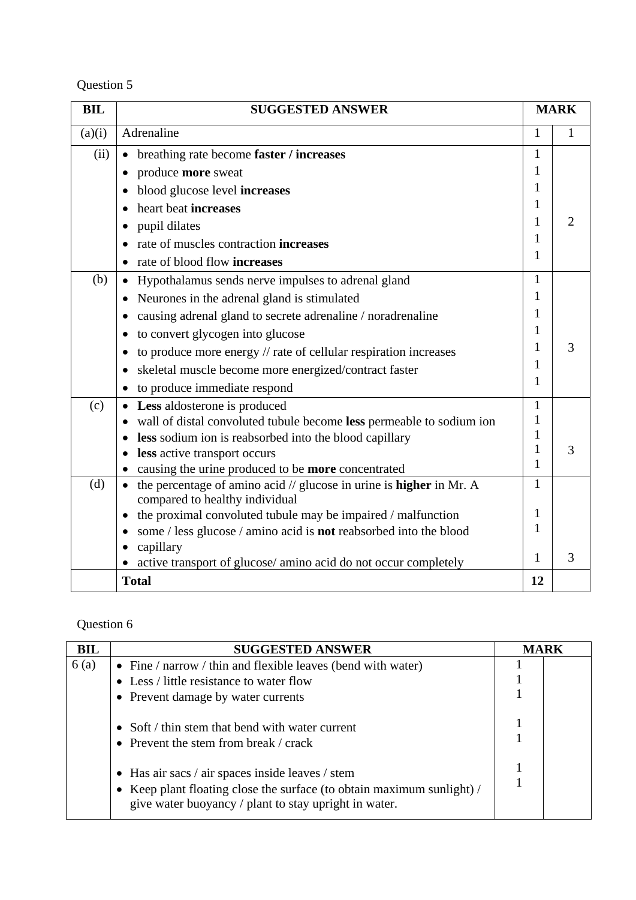| Question 5 |
|------------|
|------------|

| <b>BIL</b> | <b>SUGGESTED ANSWER</b>                                                                                      |              | <b>MARK</b> |
|------------|--------------------------------------------------------------------------------------------------------------|--------------|-------------|
| (a)(i)     | Adrenaline                                                                                                   | 1            | 1           |
| (ii)       | breathing rate become faster / increases<br>$\bullet$                                                        | 1            |             |
|            | produce more sweat                                                                                           | 1            |             |
|            | blood glucose level increases                                                                                |              |             |
|            | heart beat increases                                                                                         | 1            |             |
|            | pupil dilates                                                                                                | 1            | 2           |
|            | rate of muscles contraction <b>increases</b>                                                                 | 1            |             |
|            | • rate of blood flow increases                                                                               | 1            |             |
| (b)        | Hypothalamus sends nerve impulses to adrenal gland                                                           | 1            |             |
|            | Neurones in the adrenal gland is stimulated<br>$\bullet$                                                     | 1            |             |
|            | causing adrenal gland to secrete adrenaline / noradrenaline                                                  |              |             |
|            | to convert glycogen into glucose<br>$\bullet$                                                                | 1            |             |
|            | to produce more energy // rate of cellular respiration increases                                             |              | 3           |
|            | skeletal muscle become more energized/contract faster                                                        | 1            |             |
|            | to produce immediate respond                                                                                 | 1            |             |
| (c)        | <b>Less</b> aldosterone is produced                                                                          | 1            |             |
|            | wall of distal convoluted tubule become less permeable to sodium ion                                         | 1            |             |
|            | less sodium ion is reabsorbed into the blood capillary                                                       | 1            |             |
|            | • less active transport occurs                                                                               | 1<br>1       | 3           |
|            | causing the urine produced to be more concentrated                                                           |              |             |
| (d)        | the percentage of amino acid // glucose in urine is <b>higher</b> in Mr. A<br>compared to healthy individual | $\mathbf{1}$ |             |
|            | the proximal convoluted tubule may be impaired / malfunction                                                 | 1            |             |
|            | some / less glucose / amino acid is not reabsorbed into the blood                                            | 1            |             |
|            | capillary<br>$\bullet$                                                                                       | 1            | 3           |
|            | active transport of glucose/ amino acid do not occur completely                                              |              |             |
|            | <b>Total</b>                                                                                                 | 12           |             |

| <b>BIL</b> | <b>SUGGESTED ANSWER</b>                                                                                                                                                             | <b>MARK</b> |  |
|------------|-------------------------------------------------------------------------------------------------------------------------------------------------------------------------------------|-------------|--|
| 6(a)       | • Fine $/$ narrow $/$ thin and flexible leaves (bend with water)                                                                                                                    |             |  |
|            | • Less / little resistance to water flow                                                                                                                                            |             |  |
|            | • Prevent damage by water currents                                                                                                                                                  |             |  |
|            | • Soft / thin stem that bend with water current<br>• Prevent the stem from break / crack                                                                                            |             |  |
|            | • Has air sacs / air spaces inside leaves / stem<br>• Keep plant floating close the surface (to obtain maximum sunlight) /<br>give water buoyancy / plant to stay upright in water. |             |  |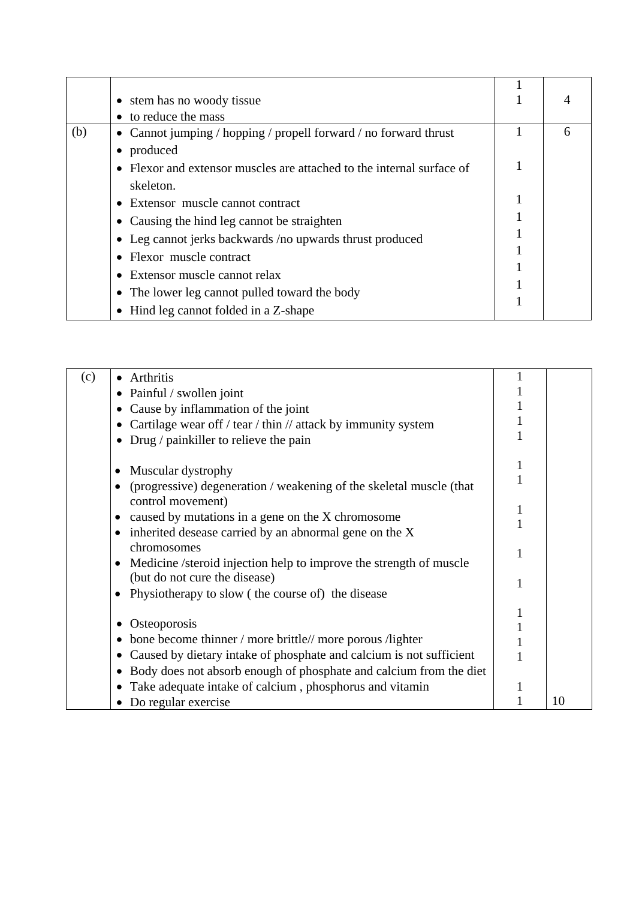|     | • stem has no woody tissue                                            |   |
|-----|-----------------------------------------------------------------------|---|
|     | • to reduce the mass                                                  |   |
| (b) | • Cannot jumping / hopping / propell forward / no forward thrust      | h |
|     | produced                                                              |   |
|     | • Flexor and extensor muscles are attached to the internal surface of |   |
|     | skeleton.                                                             |   |
|     | • Extensor muscle cannot contract                                     |   |
|     | • Causing the hind leg cannot be straighten                           |   |
|     | • Leg cannot jerks backwards /no upwards thrust produced              |   |
|     | • Flexor muscle contract                                              |   |
|     | • Extensor muscle cannot relax                                        |   |
|     | • The lower leg cannot pulled toward the body                         |   |
|     | • Hind leg cannot folded in a Z-shape                                 |   |

| (c) | <b>Arthritis</b>                                                                         |    |
|-----|------------------------------------------------------------------------------------------|----|
|     | Painful / swollen joint<br>$\bullet$                                                     |    |
|     | Cause by inflammation of the joint                                                       |    |
|     | Cartilage wear off / tear / thin // attack by immunity system<br>٠                       |    |
|     | Drug / painkiller to relieve the pain<br>$\bullet$                                       |    |
|     |                                                                                          |    |
|     | Muscular dystrophy                                                                       |    |
|     | (progressive) degeneration / weakening of the skeletal muscle (that<br>control movement) |    |
|     | caused by mutations in a gene on the X chromosome                                        |    |
|     | • inherited desease carried by an abnormal gene on the X<br>chromosomes                  |    |
|     | Medicine /steroid injection help to improve the strength of muscle                       |    |
|     | (but do not cure the disease)                                                            |    |
|     | Physiotherapy to slow (the course of) the disease                                        |    |
|     |                                                                                          |    |
|     | Osteoporosis                                                                             |    |
|     | bone become thinner / more brittle// more porous /lighter<br>٠                           |    |
|     | Caused by dietary intake of phosphate and calcium is not sufficient<br>٠                 |    |
|     | Body does not absorb enough of phosphate and calcium from the diet<br>$\bullet$          |    |
|     | Take adequate intake of calcium, phosphorus and vitamin                                  |    |
|     | Do regular exercise                                                                      | 10 |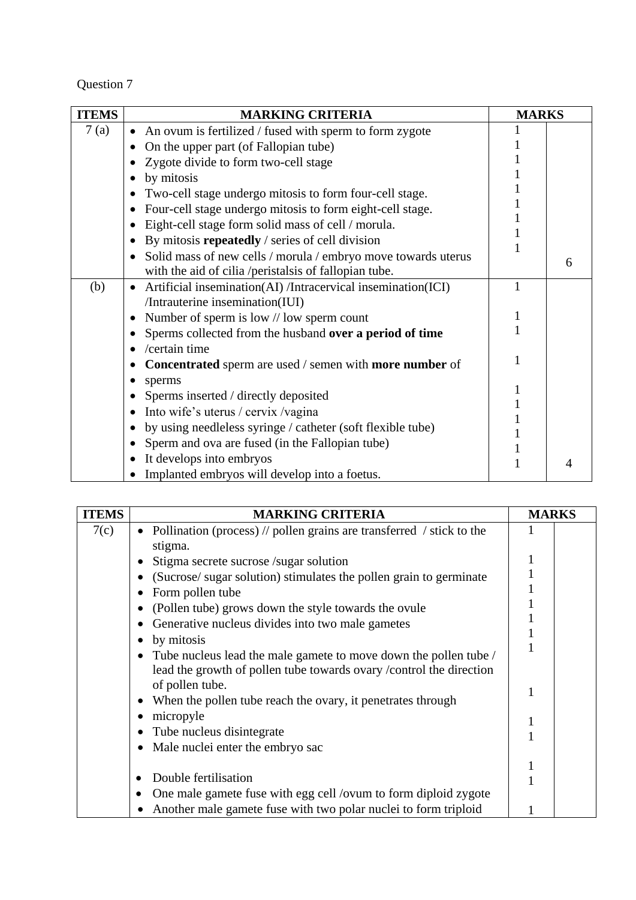| <b>ITEMS</b> | <b>MARKING CRITERIA</b>                                                   | <b>MARKS</b> |   |
|--------------|---------------------------------------------------------------------------|--------------|---|
| 7(a)         | An ovum is fertilized / fused with sperm to form zygote                   |              |   |
|              | On the upper part (of Fallopian tube)                                     |              |   |
|              | Zygote divide to form two-cell stage                                      |              |   |
|              | by mitosis                                                                |              |   |
|              | Two-cell stage undergo mitosis to form four-cell stage.                   |              |   |
|              | Four-cell stage undergo mitosis to form eight-cell stage.                 |              |   |
|              | Eight-cell stage form solid mass of cell / morula.                        |              |   |
|              | By mitosis repeatedly / series of cell division                           |              |   |
|              | Solid mass of new cells / morula / embryo move towards uterus             |              | 6 |
|              | with the aid of cilia /peristalsis of fallopian tube.                     |              |   |
| (b)          | Artificial insemination(AI) /Intracervical insemination(ICI)<br>$\bullet$ |              |   |
|              | /Intrauterine insemination(IUI)                                           |              |   |
|              | Number of sperm is low // low sperm count                                 |              |   |
|              | Sperms collected from the husband over a period of time                   |              |   |
|              | /certain time                                                             |              |   |
|              | Concentrated sperm are used / semen with more number of                   |              |   |
|              | sperms                                                                    |              |   |
|              | Sperms inserted / directly deposited                                      |              |   |
|              | Into wife's uterus / cervix / vagina                                      |              |   |
|              | by using needleless syringe / catheter (soft flexible tube)               |              |   |
|              | Sperm and ova are fused (in the Fallopian tube)                           |              |   |
|              | It develops into embryos                                                  |              | 4 |
|              | Implanted embryos will develop into a foetus.                             |              |   |

| <b>ITEMS</b> | <b>MARKING CRITERIA</b>                                                                                                 | <b>MARKS</b> |  |
|--------------|-------------------------------------------------------------------------------------------------------------------------|--------------|--|
| 7(c)         | Pollination (process) $\frac{1}{\sqrt{2}}$ pollen grains are transferred $\frac{1}{\sqrt{2}}$ stick to the<br>$\bullet$ |              |  |
|              | stigma.                                                                                                                 |              |  |
|              | Stigma secrete sucrose /sugar solution                                                                                  |              |  |
|              | (Sucrose/ sugar solution) stimulates the pollen grain to germinate                                                      |              |  |
|              | Form pollen tube                                                                                                        |              |  |
|              | (Pollen tube) grows down the style towards the ovule<br>٠                                                               |              |  |
|              | Generative nucleus divides into two male gametes<br>٠                                                                   |              |  |
|              | by mitosis<br>٠                                                                                                         |              |  |
|              | Tube nucleus lead the male gamete to move down the pollen tube /<br>٠                                                   |              |  |
|              | lead the growth of pollen tube towards ovary / control the direction<br>of pollen tube.                                 |              |  |
|              | When the pollen tube reach the ovary, it penetrates through<br>٠                                                        |              |  |
|              | micropyle                                                                                                               |              |  |
|              | Tube nucleus disintegrate<br>$\bullet$                                                                                  |              |  |
|              | Male nuclei enter the embryo sac<br>٠                                                                                   |              |  |
|              |                                                                                                                         |              |  |
|              | Double fertilisation                                                                                                    |              |  |
|              | One male gamete fuse with egg cell /ovum to form diploid zygote                                                         |              |  |
|              | Another male gamete fuse with two polar nuclei to form triploid                                                         |              |  |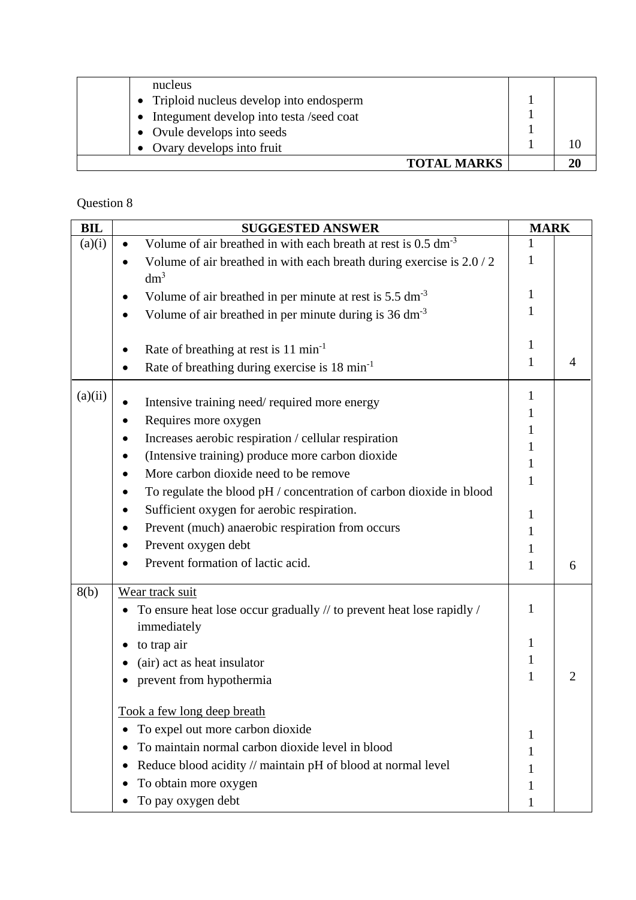| nucleus                                    |    |
|--------------------------------------------|----|
| • Triploid nucleus develop into endosperm  |    |
| • Integument develop into testa /seed coat |    |
| • Ovule develops into seeds                |    |
| • Ovary develops into fruit                |    |
| <b>TOTAL MARKS</b>                         | 20 |

| <b>BIL</b> | <b>SUGGESTED ANSWER</b>                                                    | <b>MARK</b>  |   |
|------------|----------------------------------------------------------------------------|--------------|---|
| (a)(i)     | Volume of air breathed in with each breath at rest is 0.5 dm <sup>-3</sup> |              |   |
|            | Volume of air breathed in with each breath during exercise is 2.0 / 2      | 1            |   |
|            | $dm^3$                                                                     |              |   |
|            | Volume of air breathed in per minute at rest is 5.5 dm <sup>-3</sup>       | 1            |   |
|            | Volume of air breathed in per minute during is $36 \text{ dm}^{-3}$        |              |   |
|            |                                                                            | $\mathbf{1}$ |   |
|            | Rate of breathing at rest is 11 min <sup>-1</sup>                          | 1            |   |
|            | Rate of breathing during exercise is 18 min <sup>-1</sup>                  |              |   |
| (a)(ii)    | Intensive training need/required more energy                               | 1            |   |
|            |                                                                            |              |   |
|            | Requires more oxygen                                                       |              |   |
|            | Increases aerobic respiration / cellular respiration                       |              |   |
|            | (Intensive training) produce more carbon dioxide                           | 1            |   |
|            | More carbon dioxide need to be remove                                      |              |   |
|            | To regulate the blood pH / concentration of carbon dioxide in blood        |              |   |
|            | Sufficient oxygen for aerobic respiration.                                 | 1            |   |
|            | Prevent (much) anaerobic respiration from occurs                           |              |   |
|            | Prevent oxygen debt                                                        |              |   |
|            | Prevent formation of lactic acid.                                          | 1            | 6 |
| 8(b)       | Wear track suit                                                            |              |   |
|            | To ensure heat lose occur gradually // to prevent heat lose rapidly /      | 1            |   |
|            | immediately                                                                |              |   |
|            | to trap air                                                                | 1            |   |
|            | (air) act as heat insulator                                                | 1            |   |
|            | prevent from hypothermia                                                   | 1            |   |
|            | Took a few long deep breath                                                |              |   |
|            | To expel out more carbon dioxide                                           |              |   |
|            | To maintain normal carbon dioxide level in blood                           |              |   |
|            |                                                                            |              |   |
|            | Reduce blood acidity // maintain pH of blood at normal level               |              |   |
|            | To obtain more oxygen                                                      |              |   |
|            | To pay oxygen debt                                                         |              |   |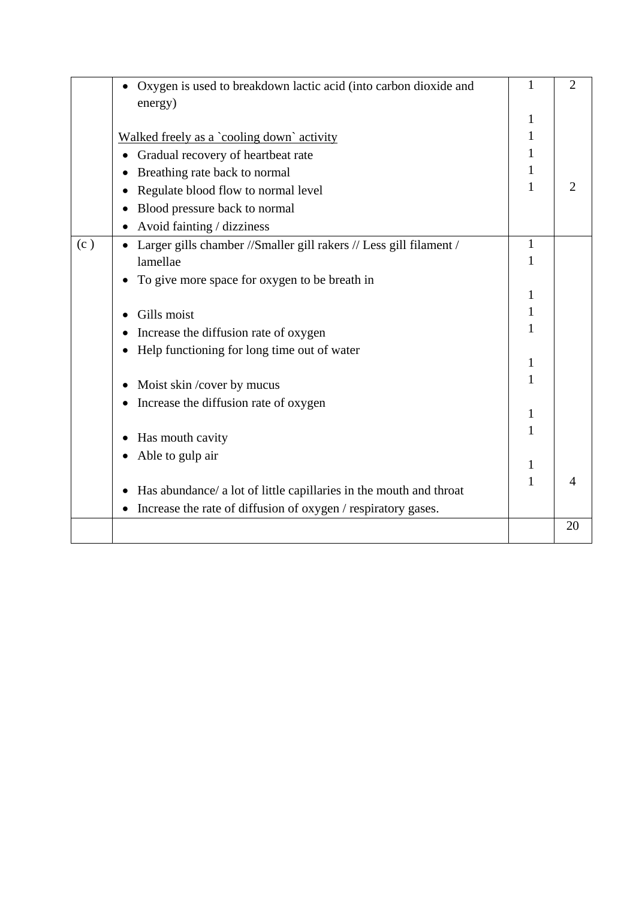|     | Oxygen is used to breakdown lactic acid (into carbon dioxide and   | $\mathbf{1}$ | $\overline{2}$ |
|-----|--------------------------------------------------------------------|--------------|----------------|
|     | energy)                                                            |              |                |
|     |                                                                    |              |                |
|     | Walked freely as a `cooling down` activity                         | 1            |                |
|     | Gradual recovery of heartbeat rate                                 |              |                |
|     | Breathing rate back to normal                                      | 1            |                |
|     | Regulate blood flow to normal level                                |              |                |
|     | Blood pressure back to normal                                      |              |                |
|     | Avoid fainting / dizziness                                         |              |                |
| (c) | Larger gills chamber //Smaller gill rakers // Less gill filament / | 1            |                |
|     | lamellae                                                           | 1            |                |
|     | To give more space for oxygen to be breath in                      |              |                |
|     |                                                                    |              |                |
|     | Gills moist                                                        | 1            |                |
|     | Increase the diffusion rate of oxygen                              |              |                |
|     | Help functioning for long time out of water                        |              |                |
|     |                                                                    | $\mathbf{1}$ |                |
|     | Moist skin/cover by mucus                                          | 1            |                |
|     | Increase the diffusion rate of oxygen                              |              |                |
|     |                                                                    | 1            |                |
|     | Has mouth cavity                                                   | 1            |                |
|     | Able to gulp air                                                   |              |                |
|     |                                                                    | 1            |                |
|     | Has abundance/ a lot of little capillaries in the mouth and throat | 1            |                |
|     | Increase the rate of diffusion of oxygen / respiratory gases.      |              |                |
|     |                                                                    |              | 20             |
|     |                                                                    |              |                |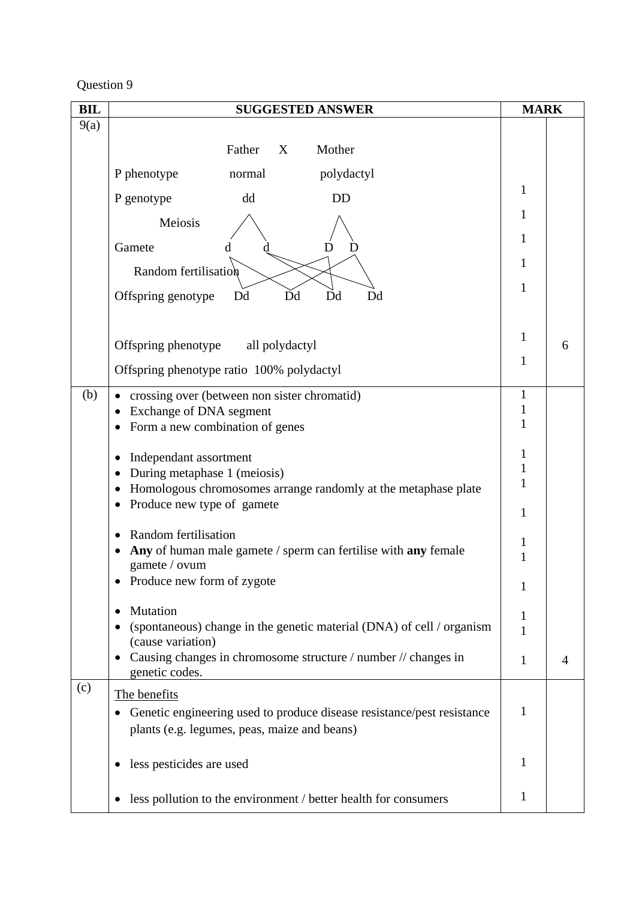| <b>BIL</b> | <b>SUGGESTED ANSWER</b>                                                                                                                                                       | <b>MARK</b>                 |   |
|------------|-------------------------------------------------------------------------------------------------------------------------------------------------------------------------------|-----------------------------|---|
| 9(a)       |                                                                                                                                                                               |                             |   |
|            | Father<br>X<br>Mother                                                                                                                                                         |                             |   |
|            | P phenotype<br>polydactyl<br>normal                                                                                                                                           |                             |   |
|            | P genotype<br>dd<br><b>DD</b>                                                                                                                                                 | 1                           |   |
|            | Meiosis                                                                                                                                                                       | 1                           |   |
|            | Gamete                                                                                                                                                                        | 1                           |   |
|            | Random fertilisation                                                                                                                                                          | 1                           |   |
|            | Dd<br>Dd<br>Offspring genotype<br>Dd<br>Dd                                                                                                                                    | 1                           |   |
|            |                                                                                                                                                                               | 1                           |   |
|            | Offspring phenotype all polydactyl                                                                                                                                            | 1                           | 6 |
|            | Offspring phenotype ratio 100% polydactyl                                                                                                                                     |                             |   |
| (b)        | crossing over (between non sister chromatid)<br>Exchange of DNA segment<br>Form a new combination of genes                                                                    | $\mathbf{1}$<br>1<br>1      |   |
|            | Independant assortment<br>During metaphase 1 (meiosis)<br>Homologous chromosomes arrange randomly at the metaphase plate<br>Produce new type of gamete                        | 1<br>1<br>$\mathbf{1}$<br>1 |   |
|            | Random fertilisation<br>Any of human male gamete / sperm can fertilise with any female<br>gamete / ovum<br>Produce new form of zygote                                         | 1<br>1                      |   |
|            | Mutation<br>٠<br>(spontaneous) change in the genetic material (DNA) of cell / organism<br>(cause variation)<br>Causing changes in chromosome structure / number // changes in | 1<br>1<br>1                 | 4 |
| (c)        | genetic codes.                                                                                                                                                                |                             |   |
|            | The benefits<br>Genetic engineering used to produce disease resistance/pest resistance<br>plants (e.g. legumes, peas, maize and beans)                                        | 1                           |   |
|            | less pesticides are used                                                                                                                                                      | 1                           |   |
|            | less pollution to the environment / better health for consumers                                                                                                               | $\mathbf{1}$                |   |